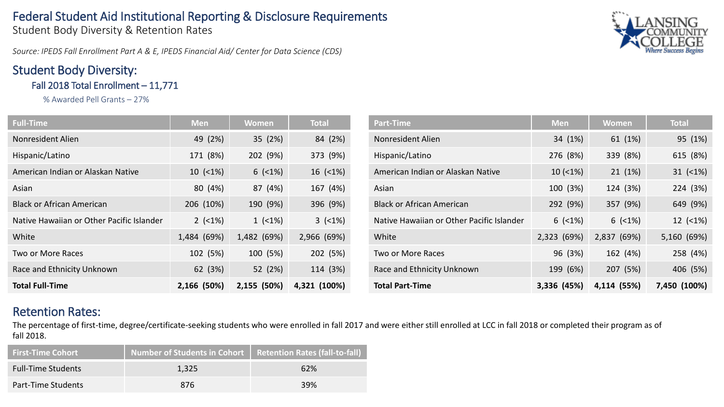# Federal Student Aid Institutional Reporting & Disclosure Requirements

Student Body Diversity & Retention Rates

*Source: IPEDS Fall Enrollment Part A & E, IPEDS Financial Aid/ Center for Data Science (CDS)*

# Student Body Diversity:

Fall 2018 Total Enrollment – 11,771

% Awarded Pell Grants – 27%

| <b>Full-Time</b>                          | <b>Men</b>  | Women       | <b>Total</b> |  |
|-------------------------------------------|-------------|-------------|--------------|--|
| Nonresident Alien                         | 49 (2%)     | 35 (2%)     | 84 (2%)      |  |
| Hispanic/Latino                           | 171 (8%)    | 202 (9%)    | 373 (9%)     |  |
| American Indian or Alaskan Native         | 10(1%)      | $6$ (<1%)   | $16$ (<1%)   |  |
| Asian                                     | 80 (4%)     | 87 (4%)     | 167 (4%)     |  |
| <b>Black or African American</b>          | 206 (10%)   | 190 (9%)    | 396 (9%)     |  |
| Native Hawaiian or Other Pacific Islander | $2$ (<1%)   | 1(1%)       | $3$ (<1%)    |  |
| White                                     | 1,484 (69%) | 1,482 (69%) | 2,966 (69%)  |  |
| <b>Two or More Races</b>                  | 102 (5%)    | 100 (5%)    | 202 (5%)     |  |
| Race and Ethnicity Unknown                | 62 (3%)     | 52 (2%)     | 114 (3%)     |  |
| <b>Total Full-Time</b>                    | 2,166 (50%) | 2,155 (50%) | 4,321 (100%) |  |

| Part-Time                                 | <b>Men</b>  | <b>Women</b> | <b>Total</b>  |  |
|-------------------------------------------|-------------|--------------|---------------|--|
| Nonresident Alien                         | 34 (1%)     | 61 (1%)      | 95 (1%)       |  |
| Hispanic/Latino                           | 276 (8%)    | 339 (8%)     |               |  |
| American Indian or Alaskan Native         | 10(1%)      | 21 (1%)      | $31$ (<1%)    |  |
| Asian                                     | 100 (3%)    | 124 (3%)     | 224 (3%)      |  |
| <b>Black or African American</b>          | 292 (9%)    | 357 (9%)     | 649 (9%)      |  |
| Native Hawaiian or Other Pacific Islander | $6$ (<1%)   | $6$ (<1%)    | $12 \ (21\%)$ |  |
| White                                     | 2,323 (69%) | 2,837 (69%)  | 5,160 (69%)   |  |
| Two or More Races                         | 96 (3%)     | 162 (4%)     | 258 (4%)      |  |
| Race and Ethnicity Unknown                | 199 (6%)    | 207 (5%)     | 406 (5%)      |  |
| <b>Total Part-Time</b>                    | 3,336 (45%) | 4,114 (55%)  | 7,450 (100%)  |  |

### Retention Rates:

The percentage of first-time, degree/certificate-seeking students who were enrolled in fall 2017 and were either still enrolled at LCC in fall 2018 or completed their program as of fall 2018.

| <b>First-Time Cohort</b>  | Number of Students in Cohort   Retention Rates (fall-to-fall) |     |
|---------------------------|---------------------------------------------------------------|-----|
| <b>Full-Time Students</b> | 1.325                                                         | 62% |
| Part-Time Students        | 876                                                           | 39% |